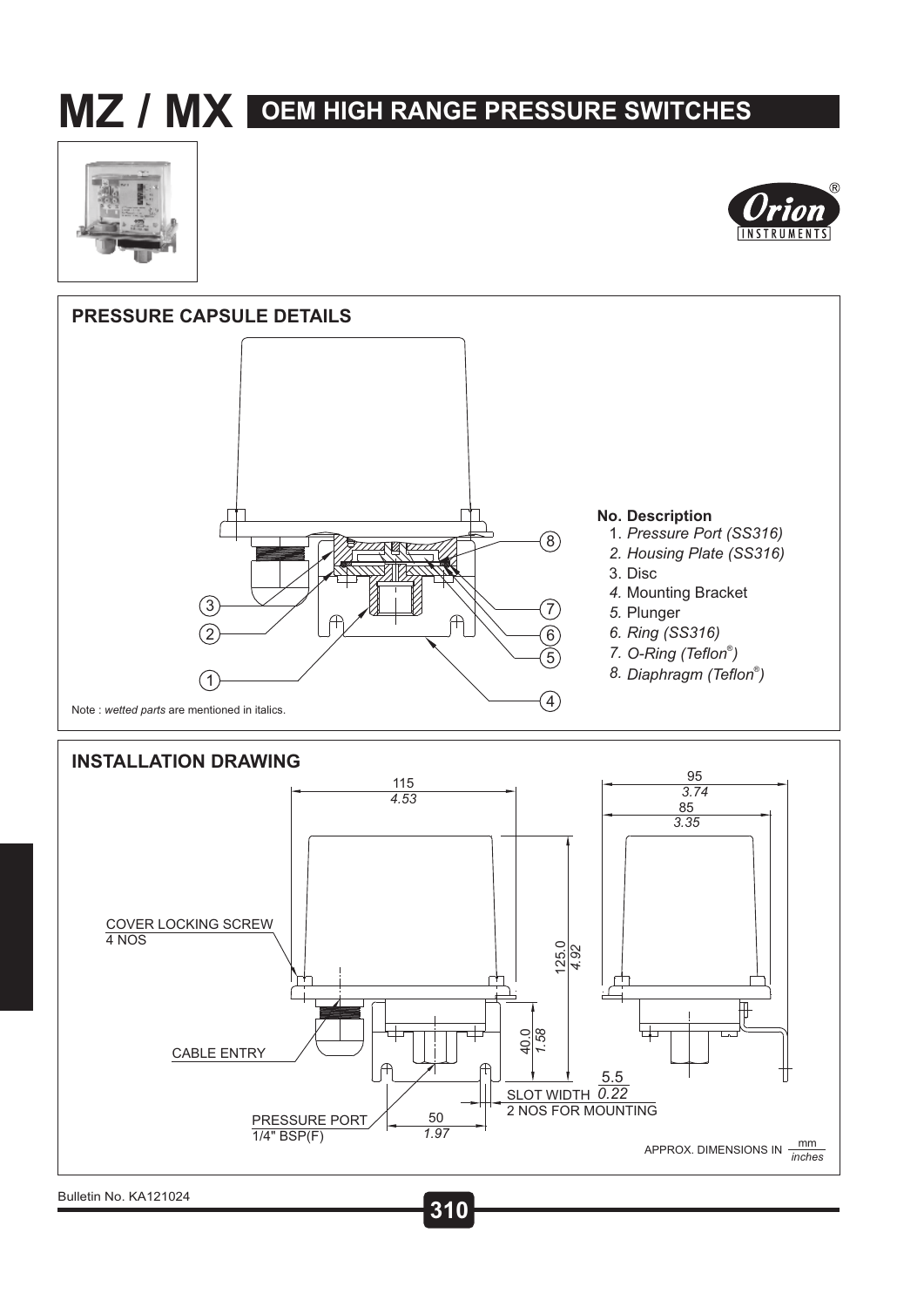# **MZ / MX OEM HIGH RANGE PRESSURE SWITCHES**









**75 310** Bulletin No. KA121024